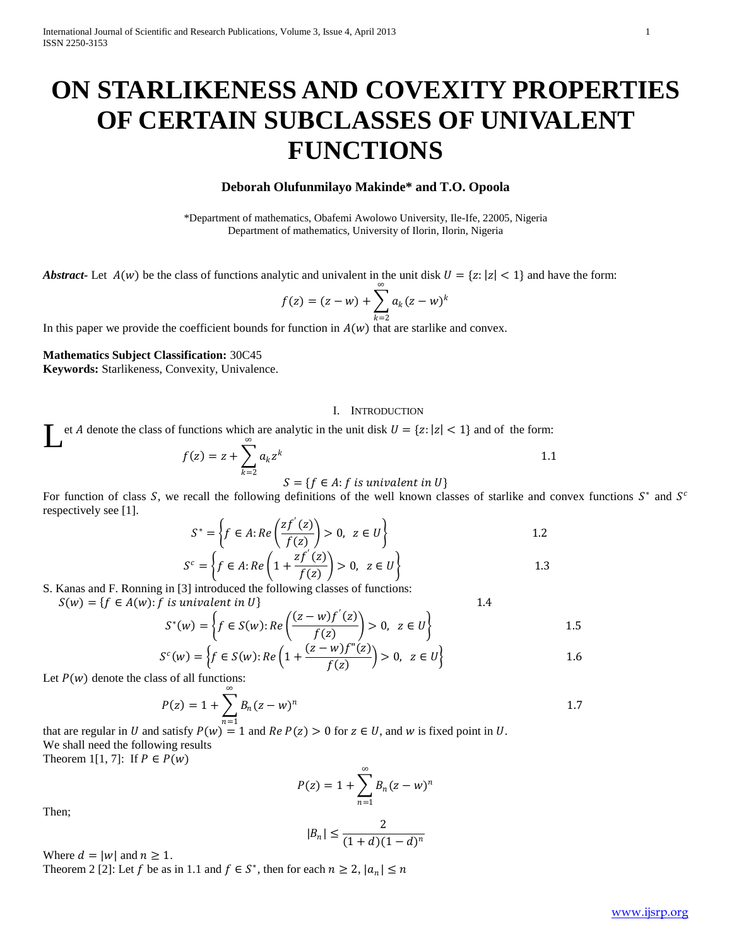# **ON STARLIKENESS AND COVEXITY PROPERTIES OF CERTAIN SUBCLASSES OF UNIVALENT FUNCTIONS**

## **Deborah Olufunmilayo Makinde\* and T.O. Opoola**

\*Department of mathematics, Obafemi Awolowo University, Ile-Ife, 22005, Nigeria Department of mathematics, University of Ilorin, Ilorin, Nigeria

*Abstract* - Let  $A(w)$  be the class of functions analytic and univalent in the unit disk  $U = \{z : |z| < 1\}$  and have the form:

$$
f(z) = (z - w) + \sum_{k=2}^{\infty} a_k (z - w)^k
$$

In this paper we provide the coefficient bounds for function in  $A(w)$  that are starlike and convex.

### **Mathematics Subject Classification:** 30C45

**Keywords:** Starlikeness, Convexity, Univalence.

#### I. INTRODUCTION

et *A* denote the class of functions which are analytic in the unit disk  $U = \{z : |z| < 1\}$  and of the form: L

$$
f(z) = z + \sum_{k=2}^{\infty} a_k z^k
$$
  

$$
S = \{ f \in A : f \text{ is univalent in } U \}
$$

For function of class S, we recall the following definitions of the well known classes of starlike and convex functions  $S^*$  and  $S^c$ respectively see [1].  $\mathcal{L}^{\mathcal{L}}$ 

$$
S^* = \left\{ f \in A : Re\left(\frac{zf'(z)}{f(z)}\right) > 0, \ z \in U \right\}
$$
1.2

$$
Sc = \left\{ f \in A : Re\left(1 + \frac{2f'(2)}{f(z)}\right) > 0, \ z \in U \right\}
$$
1.3

S. Kanas and F. Ronning in [3] introduced the following classes of functions:

 $S(w) = \{f \in A(w): f \text{ is univalent in } U\}$  1.4

$$
S^*(w) = \left\{ f \in S(w) : Re\left(\frac{(z - w)f'(z)}{f(z)}\right) > 0, \ z \in U \right\}
$$
 1.5

$$
S^{c}(w) = \left\{ f \in S(w) : Re\left(1 + \frac{(z - w)f''(z)}{f(z)}\right) > 0, \ z \in U \right\}
$$
 1.6

Let  $P(w)$  denote the class of all functions:

$$
P(z) = 1 + \sum_{n=1}^{\infty} B_n (z - w)^n
$$

that are regular in U and satisfy  $P(w) = 1$  and  $Re P(z) > 0$  for  $z \in U$ , and w is fixed point in U. We shall need the following results Theorem 1[1, 7]: If  $P \in P(w)$ 

$$
P(z) = 1 + \sum_{n=1}^{\infty} B_n (z - w)^n
$$

Then;

$$
|B_n| \le \frac{2}{(1+d)(1-d)^n}
$$

Where  $d = |w|$  and  $n \ge 1$ .

Theorem 2 [2]: Let f be as in 1.1 and  $f \in S^*$ , then for each  $n \ge 2$ ,  $|a_n| \le n$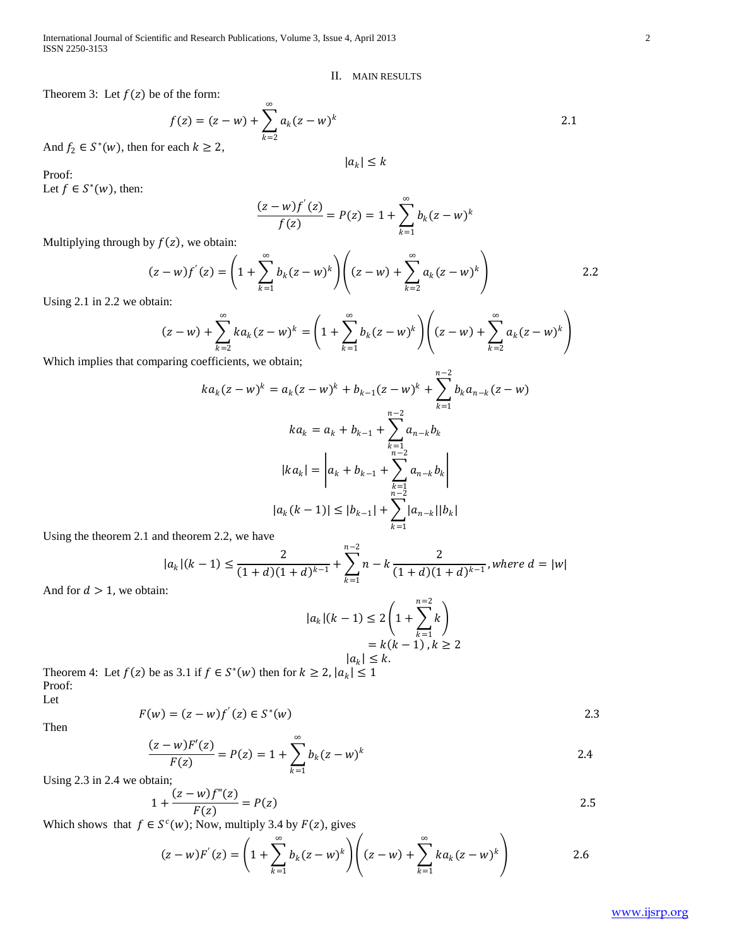International Journal of Scientific and Research Publications, Volume 3, Issue 4, April 2013 2 ISSN 2250-3153

#### II. MAIN RESULTS

Theorem 3: Let  $f(z)$  be of the form:

$$
f(z) = (z - w) + \sum_{k=2}^{\infty} a_k (z - w)^k
$$
  
each  $k \ge 2$ ,

And  $f_2 \in S^*(w)$ , then for each  $k \ge 2$ ,

Proof:

Let  $f \in S^*(w)$ , then:

$$
\frac{(z-w)f'(z)}{f(z)} = P(z) = 1 + \sum_{k=1}^{\infty} b_k (z-w)^k
$$

 $|a_k| \leq k$ 

Multiplying through by  $f(z)$ , we obtain:

$$
(z-w)f'(z) = \left(1 + \sum_{k=1}^{\infty} b_k (z-w)^k \right) \left( (z-w) + \sum_{k=2}^{\infty} a_k (z-w)^k \right)
$$
 2.2

Using 2.1 in 2.2 we obtain:

$$
(z-w) + \sum_{k=2}^{\infty} ka_k (z-w)^k = \left(1 + \sum_{k=1}^{\infty} b_k (z-w)^k \right) \left( (z-w) + \sum_{k=2}^{\infty} a_k (z-w)^k \right)
$$

Which implies that comparing coefficients, we obtain;

$$
ka_k(z-w)^k = a_k(z-w)^k + b_{k-1}(z-w)^k + \sum_{k=1}^{n-2} b_k a_{n-k}(z-w)
$$

$$
ka_k = a_k + b_{k-1} + \sum_{\substack{k=1\\n-2\\n-2}}^{n-2} a_{n-k} b_k
$$

$$
|ka_k| = \left| a_k + b_{k-1} + \sum_{\substack{k=1\\n-2\\n-2}}^{n-2} a_{n-k} b_k \right|
$$

$$
|a_k(k-1)| \le |b_{k-1}| + \sum_{k=1}^{n-2} |a_{n-k}| |b_k|
$$

Using the theorem 2.1 and theorem 2.2, we have

$$
|a_k|(k-1) \le \frac{2}{(1+d)(1+d)^{k-1}} + \sum_{k=1}^{n-2} n - k \frac{2}{(1+d)(1+d)^{k-1}}, where \ d = |w|
$$

And for  $d > 1$ , we obtain:

$$
|a_k|(k-1) \le 2\left(1 + \sum_{k=1}^{n=2} k\right)
$$

$$
= k(k-1), k \ge 2
$$

$$
|a_k| \le k.
$$

Theorem 4: Let  $f(z)$  be as 3.1 if  $f \in S^*(w)$  then for  $k \ge 2$ ,  $|a_k| \le 1$ Proof:

Let

Then

$$
F(w) = (z - w)f'(z) \in S^*(w)
$$

$$
\frac{(z-w)F'(z)}{F(z)} = P(z) = 1 + \sum_{k=1}^{\infty} b_k (z-w)^k
$$

Using 2.3 in 2.4 we obtain;

$$
1 + \frac{(z - w)f''(z)}{F(z)} = P(z)
$$

Which shows that  $f \in S^c(w)$ ; Now, multiply 3.4 by  $F(z)$ , gives

$$
(z-w)F'(z) = \left(1 + \sum_{k=1}^{\infty} b_k (z-w)^k\right) \left( (z-w) + \sum_{k=1}^{\infty} k a_k (z-w)^k\right)
$$
 2.6